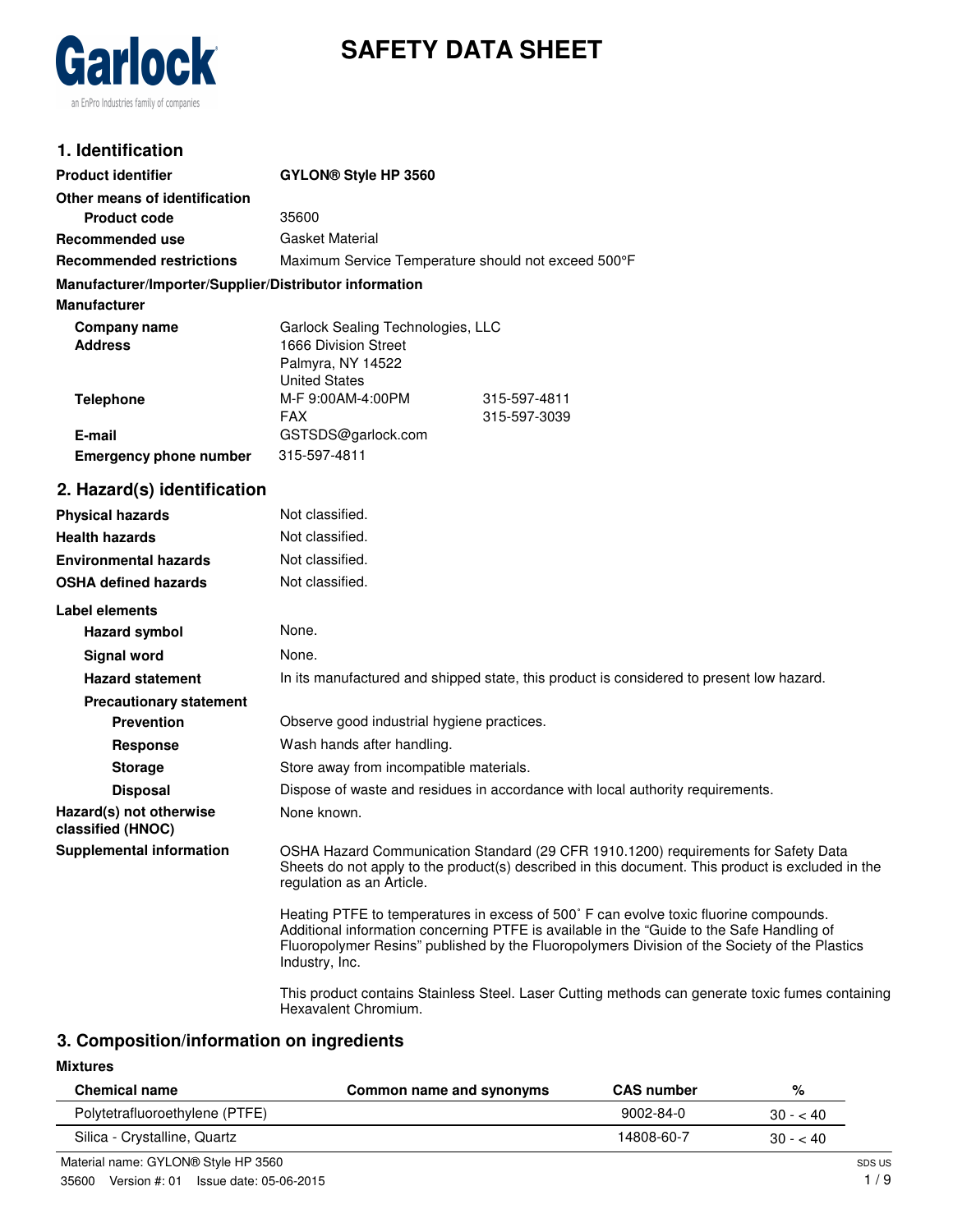

# **SAFETY DATA SHEET**

## **1. Identification**

| <b>Product identifier</b>                              | GYLON <sup>®</sup> Style HP 3560                    |              |
|--------------------------------------------------------|-----------------------------------------------------|--------------|
| Other means of identification                          |                                                     |              |
| <b>Product code</b>                                    | 35600                                               |              |
| Recommended use                                        | <b>Gasket Material</b>                              |              |
| <b>Recommended restrictions</b>                        | Maximum Service Temperature should not exceed 500°F |              |
| Manufacturer/Importer/Supplier/Distributor information |                                                     |              |
| <b>Manufacturer</b>                                    |                                                     |              |
| Company name                                           | Garlock Sealing Technologies, LLC                   |              |
| <b>Address</b>                                         | 1666 Division Street                                |              |
|                                                        | Palmyra, NY 14522                                   |              |
|                                                        | <b>United States</b>                                |              |
| <b>Telephone</b>                                       | M-F 9:00AM-4:00PM                                   | 315-597-4811 |
|                                                        | <b>FAX</b>                                          | 315-597-3039 |
| E-mail                                                 | GSTSDS@garlock.com                                  |              |
| <b>Emergency phone number</b>                          | 315-597-4811                                        |              |
| 2. Hazard(s) identification                            |                                                     |              |

## **Physical hazards** Not classified. **Health hazards** Not classified. **Environmental hazards** Not classified. **OSHA defined hazards** Not classified. **Label elements Hazard symbol** None. **Signal word** None. **Hazard statement** In its manufactured and shipped state, this product is considered to present low hazard. **Precautionary statement Prevention C** Observe good industrial hygiene practices. **Response** Wash hands after handling. **Storage** Store away from incompatible materials. **Disposal Dispose of waste and residues in accordance with local authority requirements. Hazard(s) not otherwise classified (HNOC)** None known. **Supplemental information** OSHA Hazard Communication Standard (29 CFR 1910.1200) requirements for Safety Data Sheets do not apply to the product(s) described in this document. This product is excluded in the regulation as an Article. Heating PTFE to temperatures in excess of 500˚ F can evolve toxic fluorine compounds. Additional information concerning PTFE is available in the "Guide to the Safe Handling of Fluoropolymer Resins" published by the Fluoropolymers Division of the Society of the Plastics Industry, Inc.

This product contains Stainless Steel. Laser Cutting methods can generate toxic fumes containing Hexavalent Chromium.

## **3. Composition/information on ingredients**

#### **Mixtures**

| <b>Chemical name</b>           | Common name and synonyms | <b>CAS number</b> | %         |
|--------------------------------|--------------------------|-------------------|-----------|
| Polytetrafluoroethylene (PTFE) |                          | $9002 - 84 - 0$   | $30 - 40$ |
| Silica - Crystalline, Quartz   |                          | 14808-60-7        | $30 - 40$ |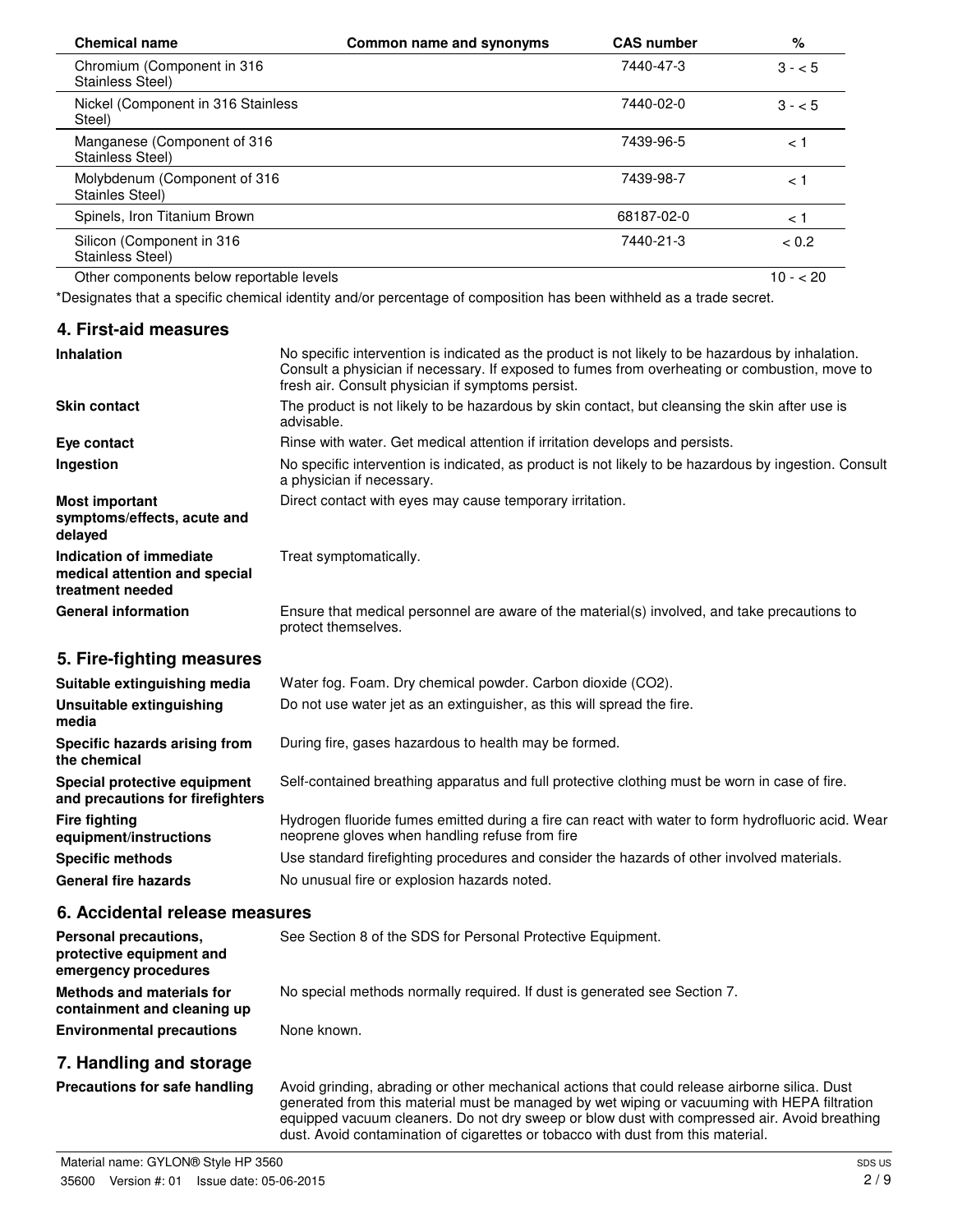| <b>Chemical name</b>                            | Common name and synonyms | <b>CAS number</b> | %         |
|-------------------------------------------------|--------------------------|-------------------|-----------|
| Chromium (Component in 316<br>Stainless Steel)  |                          | 7440-47-3         | $3 - 5$   |
| Nickel (Component in 316 Stainless<br>Steel)    |                          | 7440-02-0         | $3 - 5$   |
| Manganese (Component of 316<br>Stainless Steel) |                          | 7439-96-5         | < 1       |
| Molybdenum (Component of 316<br>Stainles Steel) |                          | 7439-98-7         | ا >       |
| Spinels, Iron Titanium Brown                    |                          | 68187-02-0        | < 1       |
| Silicon (Component in 316<br>Stainless Steel)   |                          | 7440-21-3         | < 0.2     |
| Other components below reportable levels        |                          |                   | $10 - 20$ |

\*Designates that a specific chemical identity and/or percentage of composition has been withheld as a trade secret.

| 4. First-aid measures |
|-----------------------|
|-----------------------|

| <b>Inhalation</b>                                                            | No specific intervention is indicated as the product is not likely to be hazardous by inhalation.<br>Consult a physician if necessary. If exposed to fumes from overheating or combustion, move to<br>fresh air. Consult physician if symptoms persist. |
|------------------------------------------------------------------------------|---------------------------------------------------------------------------------------------------------------------------------------------------------------------------------------------------------------------------------------------------------|
| <b>Skin contact</b>                                                          | The product is not likely to be hazardous by skin contact, but cleansing the skin after use is<br>advisable.                                                                                                                                            |
| Eye contact                                                                  | Rinse with water. Get medical attention if irritation develops and persists.                                                                                                                                                                            |
| Ingestion                                                                    | No specific intervention is indicated, as product is not likely to be hazardous by ingestion. Consult<br>a physician if necessary.                                                                                                                      |
| <b>Most important</b><br>symptoms/effects, acute and<br>delayed              | Direct contact with eyes may cause temporary irritation.                                                                                                                                                                                                |
| Indication of immediate<br>medical attention and special<br>treatment needed | Treat symptomatically.                                                                                                                                                                                                                                  |
| <b>General information</b>                                                   | Ensure that medical personnel are aware of the material(s) involved, and take precautions to<br>protect themselves.                                                                                                                                     |
| 5. Fire-fighting measures                                                    |                                                                                                                                                                                                                                                         |

| Suitable extinguishing media                                     | Water fog. Foam. Dry chemical powder. Carbon dioxide (CO2).                                                                                          |
|------------------------------------------------------------------|------------------------------------------------------------------------------------------------------------------------------------------------------|
| Unsuitable extinguishing<br>media                                | Do not use water jet as an extinguisher, as this will spread the fire.                                                                               |
| Specific hazards arising from<br>the chemical                    | During fire, gases hazardous to health may be formed.                                                                                                |
| Special protective equipment<br>and precautions for firefighters | Self-contained breathing apparatus and full protective clothing must be worn in case of fire.                                                        |
| <b>Fire fighting</b><br>equipment/instructions                   | Hydrogen fluoride fumes emitted during a fire can react with water to form hydrofluoric acid. Wear<br>neoprene gloves when handling refuse from fire |
| <b>Specific methods</b>                                          | Use standard firefighting procedures and consider the hazards of other involved materials.                                                           |
| <b>General fire hazards</b>                                      | No unusual fire or explosion hazards noted.                                                                                                          |

#### **6. Accidental release measures**

| Personal precautions.<br>protective equipment and<br>emergency procedures | See Section 8 of the SDS for Personal Protective Equipment.               |
|---------------------------------------------------------------------------|---------------------------------------------------------------------------|
| Methods and materials for<br>containment and cleaning up                  | No special methods normally required. If dust is generated see Section 7. |
| <b>Environmental precautions</b>                                          | None known.                                                               |

## **7. Handling and storage**

Precautions for safe handling Avoid grinding, abrading or other mechanical actions that could release airborne silica. Dust generated from this material must be managed by wet wiping or vacuuming with HEPA filtration equipped vacuum cleaners. Do not dry sweep or blow dust with compressed air. Avoid breathing dust. Avoid contamination of cigarettes or tobacco with dust from this material.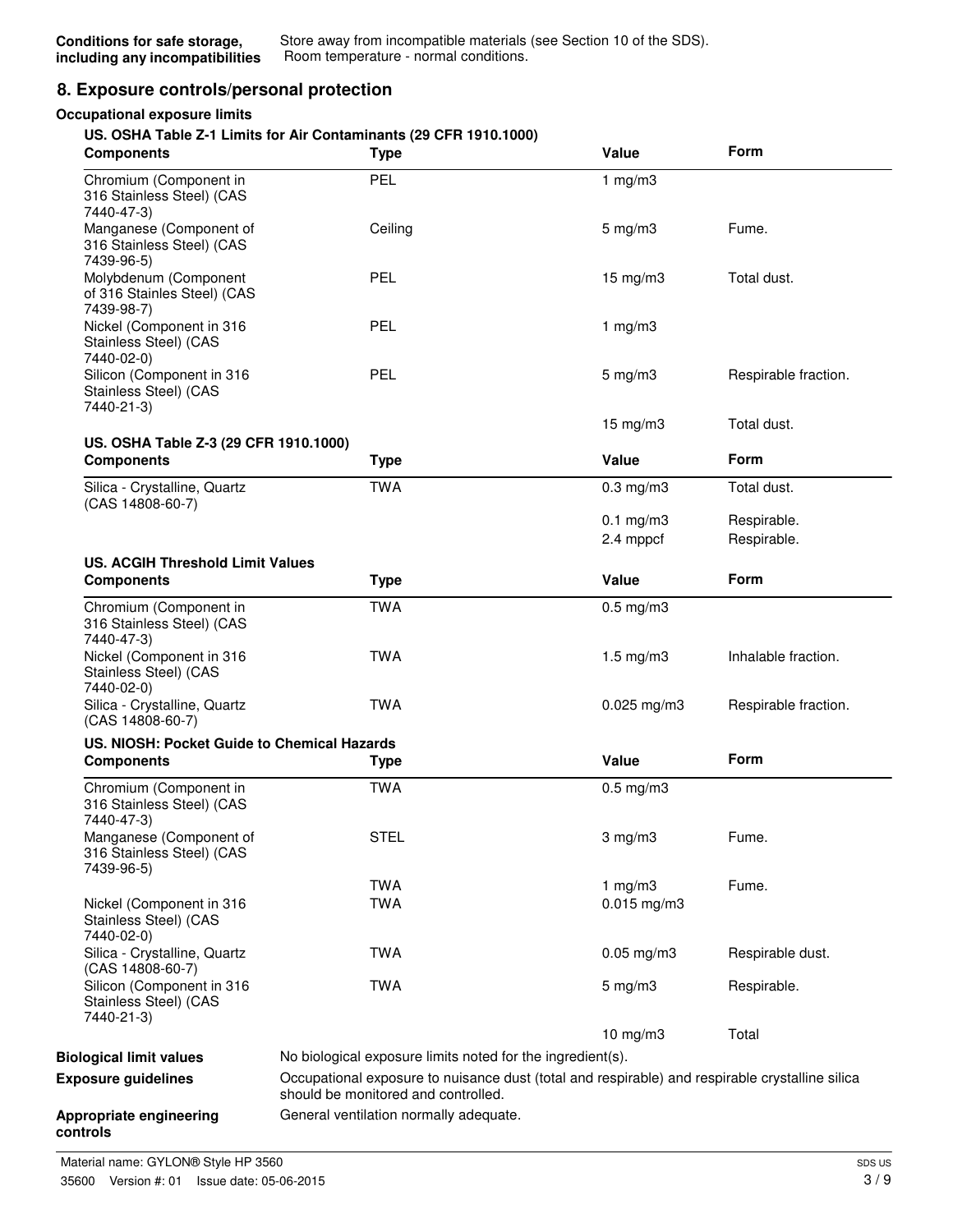## **8. Exposure controls/personal protection**

#### **Occupational exposure limits**

#### **US. OSHA Table Z-1 Limits for Air Contaminants (29 CFR 1910.1000)**

| <b>Components</b>                                                  | <b>Type</b>                                                | Value                                                                                           | Form                       |
|--------------------------------------------------------------------|------------------------------------------------------------|-------------------------------------------------------------------------------------------------|----------------------------|
| Chromium (Component in<br>316 Stainless Steel) (CAS<br>7440-47-3)  | PEL                                                        | 1 $mg/m3$                                                                                       |                            |
| Manganese (Component of<br>316 Stainless Steel) (CAS<br>7439-96-5) | Ceiling                                                    | $5 \text{ mg/m}$ 3                                                                              | Fume.                      |
| Molybdenum (Component<br>of 316 Stainles Steel) (CAS<br>7439-98-7) | PEL                                                        | $15 \text{ mg/m}$ 3                                                                             | Total dust.                |
| Nickel (Component in 316<br>Stainless Steel) (CAS<br>7440-02-0)    | <b>PEL</b>                                                 | 1 $mg/m3$                                                                                       |                            |
| Silicon (Component in 316<br>Stainless Steel) (CAS<br>7440-21-3)   | PEL                                                        | $5 \text{ mg/m}$ 3                                                                              | Respirable fraction.       |
|                                                                    |                                                            | $15$ mg/m $3$                                                                                   | Total dust.                |
| US. OSHA Table Z-3 (29 CFR 1910.1000)<br><b>Components</b>         | <b>Type</b>                                                | Value                                                                                           | Form                       |
| Silica - Crystalline, Quartz<br>(CAS 14808-60-7)                   | <b>TWA</b>                                                 | $0.3$ mg/m $3$                                                                                  | Total dust.                |
|                                                                    |                                                            | $0.1$ mg/m $3$<br>2.4 mppcf                                                                     | Respirable.<br>Respirable. |
| <b>US. ACGIH Threshold Limit Values</b><br><b>Components</b>       | <b>Type</b>                                                | Value                                                                                           | Form                       |
| Chromium (Component in<br>316 Stainless Steel) (CAS<br>7440-47-3)  | <b>TWA</b>                                                 | $0.5$ mg/m $3$                                                                                  |                            |
| Nickel (Component in 316<br>Stainless Steel) (CAS<br>7440-02-0)    | <b>TWA</b>                                                 | $1.5 \text{ mg/m}$ 3                                                                            | Inhalable fraction.        |
| Silica - Crystalline, Quartz<br>(CAS 14808-60-7)                   | <b>TWA</b>                                                 | $0.025$ mg/m3                                                                                   | Respirable fraction.       |
| US. NIOSH: Pocket Guide to Chemical Hazards                        |                                                            |                                                                                                 |                            |
| <b>Components</b>                                                  | Type                                                       | Value                                                                                           | Form                       |
| Chromium (Component in<br>316 Stainless Steel) (CAS<br>7440-47-3)  | <b>TWA</b>                                                 | $0.5$ mg/m $3$                                                                                  |                            |
| Manganese (Component of<br>316 Stainless Steel) (CAS<br>7439-96-5) | <b>STEL</b>                                                | $3 \text{ mg/m}$                                                                                | Fume.                      |
|                                                                    | <b>TWA</b>                                                 | 1 $mg/m3$                                                                                       | Fume.                      |
| Nickel (Component in 316<br>Stainless Steel) (CAS<br>7440-02-0)    | <b>TWA</b>                                                 | $0.015$ mg/m3                                                                                   |                            |
| Silica - Crystalline, Quartz<br>(CAS 14808-60-7)                   | <b>TWA</b>                                                 | $0.05$ mg/m $3$                                                                                 | Respirable dust.           |
| Silicon (Component in 316<br>Stainless Steel) (CAS<br>7440-21-3)   | <b>TWA</b>                                                 | $5 \text{ mg/m}$ 3                                                                              | Respirable.                |
|                                                                    |                                                            | 10 mg/m3                                                                                        | Total                      |
| <b>Biological limit values</b>                                     | No biological exposure limits noted for the ingredient(s). |                                                                                                 |                            |
| <b>Exposure guidelines</b>                                         | should be monitored and controlled.                        | Occupational exposure to nuisance dust (total and respirable) and respirable crystalline silica |                            |
| Appropriate engineering<br>controls                                | General ventilation normally adequate.                     |                                                                                                 |                            |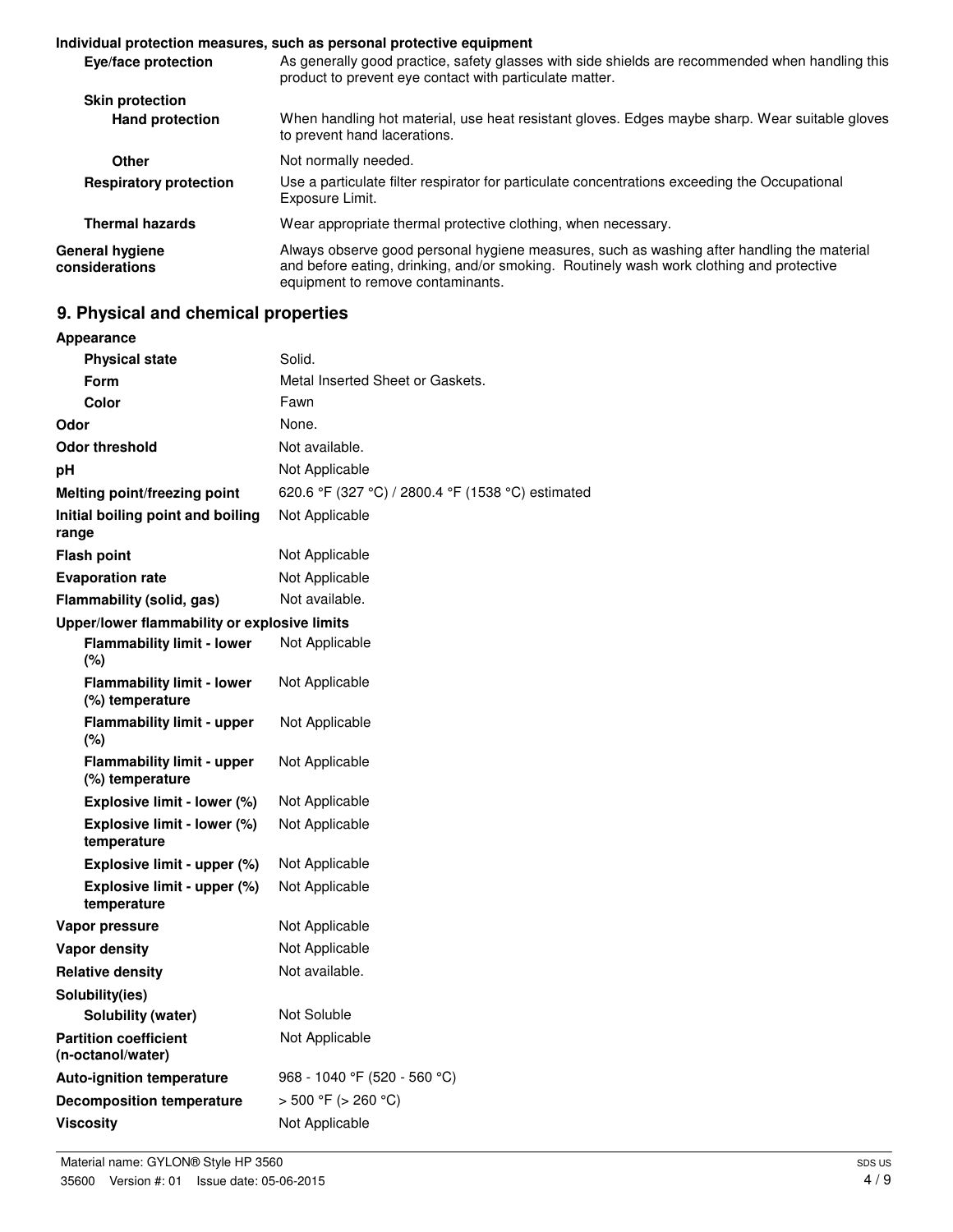#### **Individual protection measures, such as personal protective equipment**

| Eye/face protection               | As generally good practice, safety glasses with side shields are recommended when handling this<br>product to prevent eye contact with particulate matter.                                                                  |
|-----------------------------------|-----------------------------------------------------------------------------------------------------------------------------------------------------------------------------------------------------------------------------|
| <b>Skin protection</b>            |                                                                                                                                                                                                                             |
| <b>Hand protection</b>            | When handling hot material, use heat resistant gloves. Edges maybe sharp. Wear suitable gloves<br>to prevent hand lacerations.                                                                                              |
| Other                             | Not normally needed.                                                                                                                                                                                                        |
| <b>Respiratory protection</b>     | Use a particulate filter respirator for particulate concentrations exceeding the Occupational<br>Exposure Limit.                                                                                                            |
| <b>Thermal hazards</b>            | Wear appropriate thermal protective clothing, when necessary.                                                                                                                                                               |
| General hygiene<br>considerations | Always observe good personal hygiene measures, such as washing after handling the material<br>and before eating, drinking, and/or smoking. Routinely wash work clothing and protective<br>equipment to remove contaminants. |

## **9. Physical and chemical properties**

| Appearance                                           |                                                   |
|------------------------------------------------------|---------------------------------------------------|
| <b>Physical state</b>                                | Solid.                                            |
| <b>Form</b>                                          | Metal Inserted Sheet or Gaskets.                  |
| Color                                                | Fawn                                              |
| Odor                                                 | None.                                             |
| Odor threshold                                       | Not available.                                    |
| pН                                                   | Not Applicable                                    |
| <b>Melting point/freezing point</b>                  | 620.6 °F (327 °C) / 2800.4 °F (1538 °C) estimated |
| Initial boiling point and boiling<br>range           | Not Applicable                                    |
| <b>Flash point</b>                                   | Not Applicable                                    |
| <b>Evaporation rate</b>                              | Not Applicable                                    |
| Flammability (solid, gas)                            | Not available.                                    |
| Upper/lower flammability or explosive limits         |                                                   |
| <b>Flammability limit - lower</b><br>(%)             | Not Applicable                                    |
| <b>Flammability limit - lower</b><br>(%) temperature | Not Applicable                                    |
| <b>Flammability limit - upper</b><br>(%)             | Not Applicable                                    |
| <b>Flammability limit - upper</b><br>(%) temperature | Not Applicable                                    |
| Explosive limit - lower (%)                          | Not Applicable                                    |
| Explosive limit - lower (%)<br>temperature           | Not Applicable                                    |
| Explosive limit - upper (%)                          | Not Applicable                                    |
| Explosive limit - upper (%)<br>temperature           | Not Applicable                                    |
| Vapor pressure                                       | Not Applicable                                    |
| Vapor density                                        | Not Applicable                                    |
| <b>Relative density</b>                              | Not available.                                    |
| Solubility(ies)                                      |                                                   |
| Solubility (water)                                   | Not Soluble                                       |
| <b>Partition coefficient</b><br>(n-octanol/water)    | Not Applicable                                    |
| <b>Auto-ignition temperature</b>                     | 968 - 1040 °F (520 - 560 °C)                      |
| <b>Decomposition temperature</b>                     | > 500 °F (> 260 °C)                               |
| <b>Viscosity</b>                                     | Not Applicable                                    |
|                                                      |                                                   |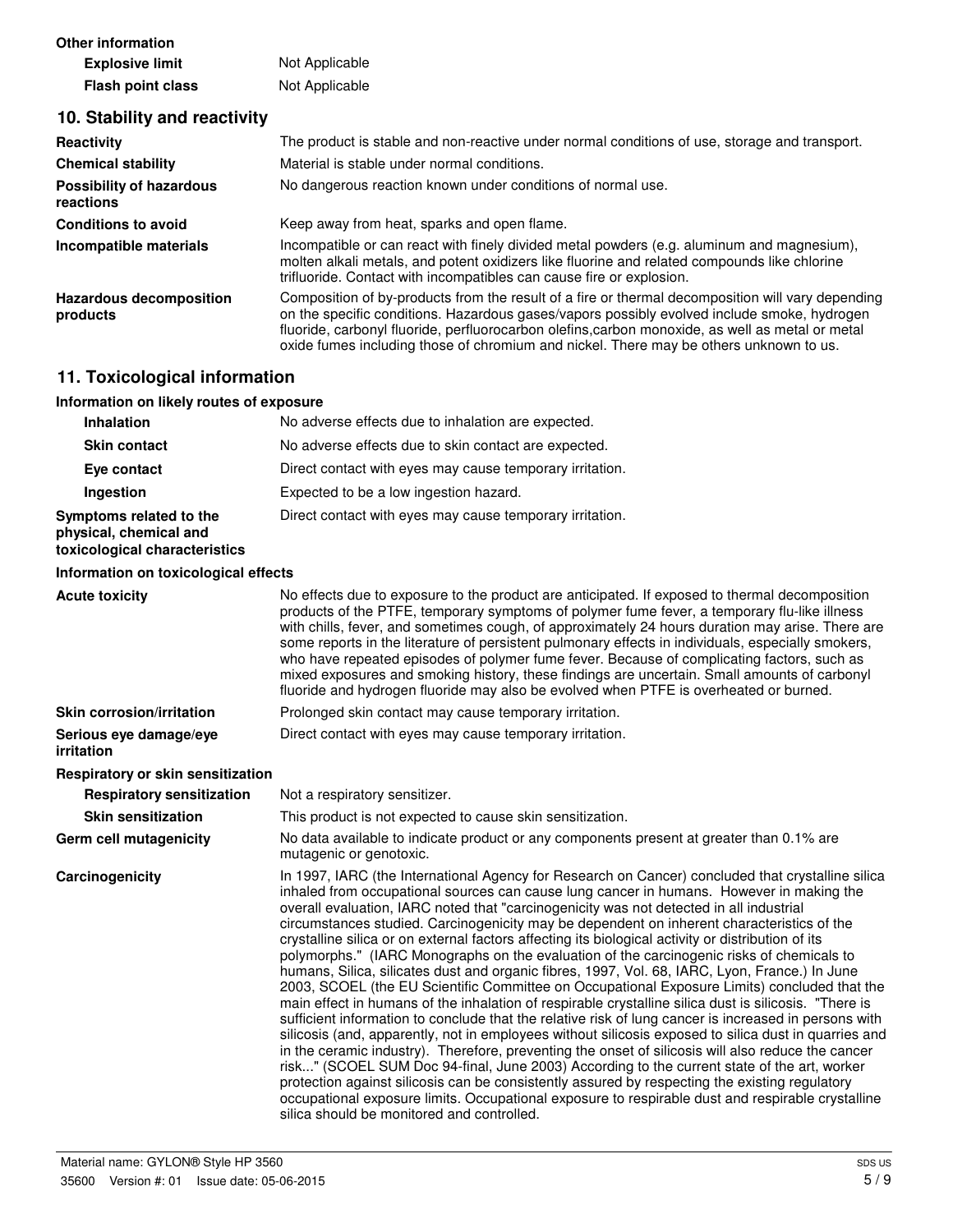| <b>Other information</b> |                |
|--------------------------|----------------|
| <b>Explosive limit</b>   | Not Applicable |
| <b>Flash point class</b> | Not Applicable |

## **10. Stability and reactivity**

| Reactivity                                   | The product is stable and non-reactive under normal conditions of use, storage and transport.                                                                                                                                                                                                                                                                                                  |
|----------------------------------------------|------------------------------------------------------------------------------------------------------------------------------------------------------------------------------------------------------------------------------------------------------------------------------------------------------------------------------------------------------------------------------------------------|
| <b>Chemical stability</b>                    | Material is stable under normal conditions.                                                                                                                                                                                                                                                                                                                                                    |
| <b>Possibility of hazardous</b><br>reactions | No dangerous reaction known under conditions of normal use.                                                                                                                                                                                                                                                                                                                                    |
| <b>Conditions to avoid</b>                   | Keep away from heat, sparks and open flame.                                                                                                                                                                                                                                                                                                                                                    |
| Incompatible materials                       | Incompatible or can react with finely divided metal powders (e.g. aluminum and magnesium),<br>molten alkali metals, and potent oxidizers like fluorine and related compounds like chlorine<br>trifluoride. Contact with incompatibles can cause fire or explosion.                                                                                                                             |
| <b>Hazardous decomposition</b><br>products   | Composition of by-products from the result of a fire or thermal decomposition will vary depending<br>on the specific conditions. Hazardous gases/vapors possibly evolved include smoke, hydrogen<br>fluoride, carbonyl fluoride, perfluorocarbon olefins, carbon monoxide, as well as metal or metal<br>oxide fumes including those of chromium and nickel. There may be others unknown to us. |

## **11. Toxicological information**

| Information on likely routes of exposure |  |  |  |  |
|------------------------------------------|--|--|--|--|
|------------------------------------------|--|--|--|--|

| <b>Inhalation</b>                                                                  | No adverse effects due to inhalation are expected.       |
|------------------------------------------------------------------------------------|----------------------------------------------------------|
| <b>Skin contact</b>                                                                | No adverse effects due to skin contact are expected.     |
| Eye contact                                                                        | Direct contact with eyes may cause temporary irritation. |
| Ingestion                                                                          | Expected to be a low ingestion hazard.                   |
| Symptoms related to the<br>physical, chemical and<br>toxicological characteristics | Direct contact with eyes may cause temporary irritation. |

#### **Information on toxicological effects**

| <b>Acute toxicity</b>                       | No effects due to exposure to the product are anticipated. If exposed to thermal decomposition<br>products of the PTFE, temporary symptoms of polymer fume fever, a temporary flu-like illness<br>with chills, fever, and sometimes cough, of approximately 24 hours duration may arise. There are<br>some reports in the literature of persistent pulmonary effects in individuals, especially smokers,<br>who have repeated episodes of polymer fume fever. Because of complicating factors, such as<br>mixed exposures and smoking history, these findings are uncertain. Small amounts of carbonyl<br>fluoride and hydrogen fluoride may also be evolved when PTFE is overheated or burned.                                                                                                                                                                                                                                                                                                                                                                                                                                                                                                                                                                                                                                                                                                                                                                                                                                                                                  |
|---------------------------------------------|----------------------------------------------------------------------------------------------------------------------------------------------------------------------------------------------------------------------------------------------------------------------------------------------------------------------------------------------------------------------------------------------------------------------------------------------------------------------------------------------------------------------------------------------------------------------------------------------------------------------------------------------------------------------------------------------------------------------------------------------------------------------------------------------------------------------------------------------------------------------------------------------------------------------------------------------------------------------------------------------------------------------------------------------------------------------------------------------------------------------------------------------------------------------------------------------------------------------------------------------------------------------------------------------------------------------------------------------------------------------------------------------------------------------------------------------------------------------------------------------------------------------------------------------------------------------------------|
| <b>Skin corrosion/irritation</b>            | Prolonged skin contact may cause temporary irritation.                                                                                                                                                                                                                                                                                                                                                                                                                                                                                                                                                                                                                                                                                                                                                                                                                                                                                                                                                                                                                                                                                                                                                                                                                                                                                                                                                                                                                                                                                                                           |
| Serious eye damage/eye<br><i>irritation</i> | Direct contact with eyes may cause temporary irritation.                                                                                                                                                                                                                                                                                                                                                                                                                                                                                                                                                                                                                                                                                                                                                                                                                                                                                                                                                                                                                                                                                                                                                                                                                                                                                                                                                                                                                                                                                                                         |
| Respiratory or skin sensitization           |                                                                                                                                                                                                                                                                                                                                                                                                                                                                                                                                                                                                                                                                                                                                                                                                                                                                                                                                                                                                                                                                                                                                                                                                                                                                                                                                                                                                                                                                                                                                                                                  |
| <b>Respiratory sensitization</b>            | Not a respiratory sensitizer.                                                                                                                                                                                                                                                                                                                                                                                                                                                                                                                                                                                                                                                                                                                                                                                                                                                                                                                                                                                                                                                                                                                                                                                                                                                                                                                                                                                                                                                                                                                                                    |
| <b>Skin sensitization</b>                   | This product is not expected to cause skin sensitization.                                                                                                                                                                                                                                                                                                                                                                                                                                                                                                                                                                                                                                                                                                                                                                                                                                                                                                                                                                                                                                                                                                                                                                                                                                                                                                                                                                                                                                                                                                                        |
| Germ cell mutagenicity                      | No data available to indicate product or any components present at greater than 0.1% are<br>mutagenic or genotoxic.                                                                                                                                                                                                                                                                                                                                                                                                                                                                                                                                                                                                                                                                                                                                                                                                                                                                                                                                                                                                                                                                                                                                                                                                                                                                                                                                                                                                                                                              |
| Carcinogenicity                             | In 1997, IARC (the International Agency for Research on Cancer) concluded that crystalline silica<br>inhaled from occupational sources can cause lung cancer in humans. However in making the<br>overall evaluation, IARC noted that "carcinogenicity was not detected in all industrial<br>circumstances studied. Carcinogenicity may be dependent on inherent characteristics of the<br>crystalline silica or on external factors affecting its biological activity or distribution of its<br>polymorphs." (IARC Monographs on the evaluation of the carcinogenic risks of chemicals to<br>humans, Silica, silicates dust and organic fibres, 1997, Vol. 68, IARC, Lyon, France.) In June<br>2003, SCOEL (the EU Scientific Committee on Occupational Exposure Limits) concluded that the<br>main effect in humans of the inhalation of respirable crystalline silica dust is silicosis. "There is<br>sufficient information to conclude that the relative risk of lung cancer is increased in persons with<br>silicosis (and, apparently, not in employees without silicosis exposed to silica dust in quarries and<br>in the ceramic industry). Therefore, preventing the onset of silicosis will also reduce the cancer<br>risk" (SCOEL SUM Doc 94-final, June 2003) According to the current state of the art, worker<br>protection against silicosis can be consistently assured by respecting the existing regulatory<br>occupational exposure limits. Occupational exposure to respirable dust and respirable crystalline<br>silica should be monitored and controlled. |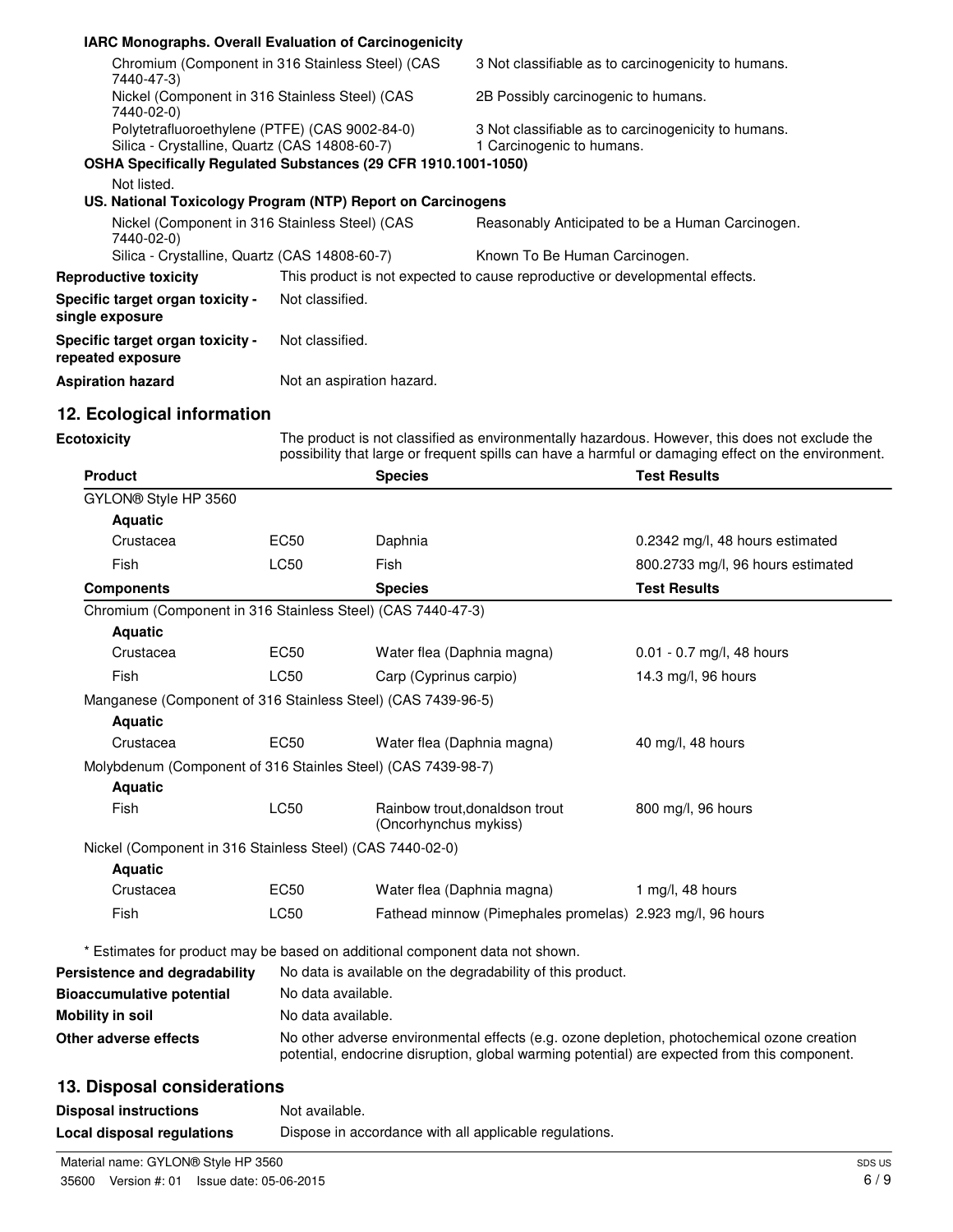| <b>IARC Monographs. Overall Evaluation of Carcinogenicity</b>  |                                                                |                                                                              |  |
|----------------------------------------------------------------|----------------------------------------------------------------|------------------------------------------------------------------------------|--|
| Chromium (Component in 316 Stainless Steel) (CAS<br>7440-47-3) |                                                                | 3 Not classifiable as to carcinogenicity to humans.                          |  |
| Nickel (Component in 316 Stainless Steel) (CAS<br>7440-02-0)   |                                                                | 2B Possibly carcinogenic to humans.                                          |  |
| Polytetrafluoroethylene (PTFE) (CAS 9002-84-0)                 |                                                                | 3 Not classifiable as to carcinogenicity to humans.                          |  |
| Silica - Crystalline, Quartz (CAS 14808-60-7)                  |                                                                | 1 Carcinogenic to humans.                                                    |  |
|                                                                | OSHA Specifically Regulated Substances (29 CFR 1910.1001-1050) |                                                                              |  |
| Not listed.                                                    |                                                                |                                                                              |  |
|                                                                | US. National Toxicology Program (NTP) Report on Carcinogens    |                                                                              |  |
| Nickel (Component in 316 Stainless Steel) (CAS<br>7440-02-0)   |                                                                | Reasonably Anticipated to be a Human Carcinogen.                             |  |
| Silica - Crystalline, Quartz (CAS 14808-60-7)                  |                                                                | Known To Be Human Carcinogen.                                                |  |
| <b>Reproductive toxicity</b>                                   |                                                                | This product is not expected to cause reproductive or developmental effects. |  |
| Specific target organ toxicity -<br>single exposure            | Not classified.                                                |                                                                              |  |
| Specific target organ toxicity -<br>repeated exposure          | Not classified.                                                |                                                                              |  |
| <b>Aspiration hazard</b>                                       | Not an aspiration hazard.                                      |                                                                              |  |

## **12. Ecological information**

**Ecotoxicity** The product is not classified as environmentally hazardous. However, this does not exclude the inte possibility that large or frequent spills can have a harmful or damaging effect on the environment.

| <b>Product</b>                                               |                    | <b>Species</b>                                                                                                                                                                             | <b>Test Results</b>               |
|--------------------------------------------------------------|--------------------|--------------------------------------------------------------------------------------------------------------------------------------------------------------------------------------------|-----------------------------------|
| GYLON® Style HP 3560                                         |                    |                                                                                                                                                                                            |                                   |
| <b>Aquatic</b>                                               |                    |                                                                                                                                                                                            |                                   |
| Crustacea                                                    | EC50               | Daphnia                                                                                                                                                                                    | 0.2342 mg/l, 48 hours estimated   |
| Fish                                                         | <b>LC50</b>        | <b>Fish</b>                                                                                                                                                                                | 800.2733 mg/l, 96 hours estimated |
| <b>Components</b>                                            |                    | <b>Species</b>                                                                                                                                                                             | <b>Test Results</b>               |
| Chromium (Component in 316 Stainless Steel) (CAS 7440-47-3)  |                    |                                                                                                                                                                                            |                                   |
| <b>Aquatic</b>                                               |                    |                                                                                                                                                                                            |                                   |
| Crustacea                                                    | EC50               | Water flea (Daphnia magna)                                                                                                                                                                 | $0.01 - 0.7$ mg/l, 48 hours       |
| Fish                                                         | <b>LC50</b>        | Carp (Cyprinus carpio)                                                                                                                                                                     | 14.3 mg/l, 96 hours               |
| Manganese (Component of 316 Stainless Steel) (CAS 7439-96-5) |                    |                                                                                                                                                                                            |                                   |
| <b>Aquatic</b>                                               |                    |                                                                                                                                                                                            |                                   |
| Crustacea                                                    | EC50               | Water flea (Daphnia magna)                                                                                                                                                                 | 40 mg/l, 48 hours                 |
| Molybdenum (Component of 316 Stainles Steel) (CAS 7439-98-7) |                    |                                                                                                                                                                                            |                                   |
| <b>Aquatic</b>                                               |                    |                                                                                                                                                                                            |                                   |
| Fish                                                         | <b>LC50</b>        | Rainbow trout, donaldson trout<br>(Oncorhynchus mykiss)                                                                                                                                    | 800 mg/l, 96 hours                |
| Nickel (Component in 316 Stainless Steel) (CAS 7440-02-0)    |                    |                                                                                                                                                                                            |                                   |
| <b>Aquatic</b>                                               |                    |                                                                                                                                                                                            |                                   |
| Crustacea                                                    | EC50               | Water flea (Daphnia magna)                                                                                                                                                                 | 1 mg/l, 48 hours                  |
| Fish                                                         | <b>LC50</b>        | Fathead minnow (Pimephales promelas) 2.923 mg/l, 96 hours                                                                                                                                  |                                   |
|                                                              |                    | * Estimates for product may be based on additional component data not shown.                                                                                                               |                                   |
| Persistence and degradability                                |                    | No data is available on the degradability of this product.                                                                                                                                 |                                   |
| <b>Bioaccumulative potential</b>                             | No data available. |                                                                                                                                                                                            |                                   |
| Mobility in soil                                             | No data available. |                                                                                                                                                                                            |                                   |
| Other adverse effects                                        |                    | No other adverse environmental effects (e.g. ozone depletion, photochemical ozone creation<br>potential, endocrine disruption, global warming potential) are expected from this component. |                                   |
| 13. Disposal considerations                                  |                    |                                                                                                                                                                                            |                                   |
| <b>Disposal instructions</b>                                 | Not available.     |                                                                                                                                                                                            |                                   |
|                                                              |                    |                                                                                                                                                                                            |                                   |

**Local disposal regulations** Dispose in accordance with all applicable regulations.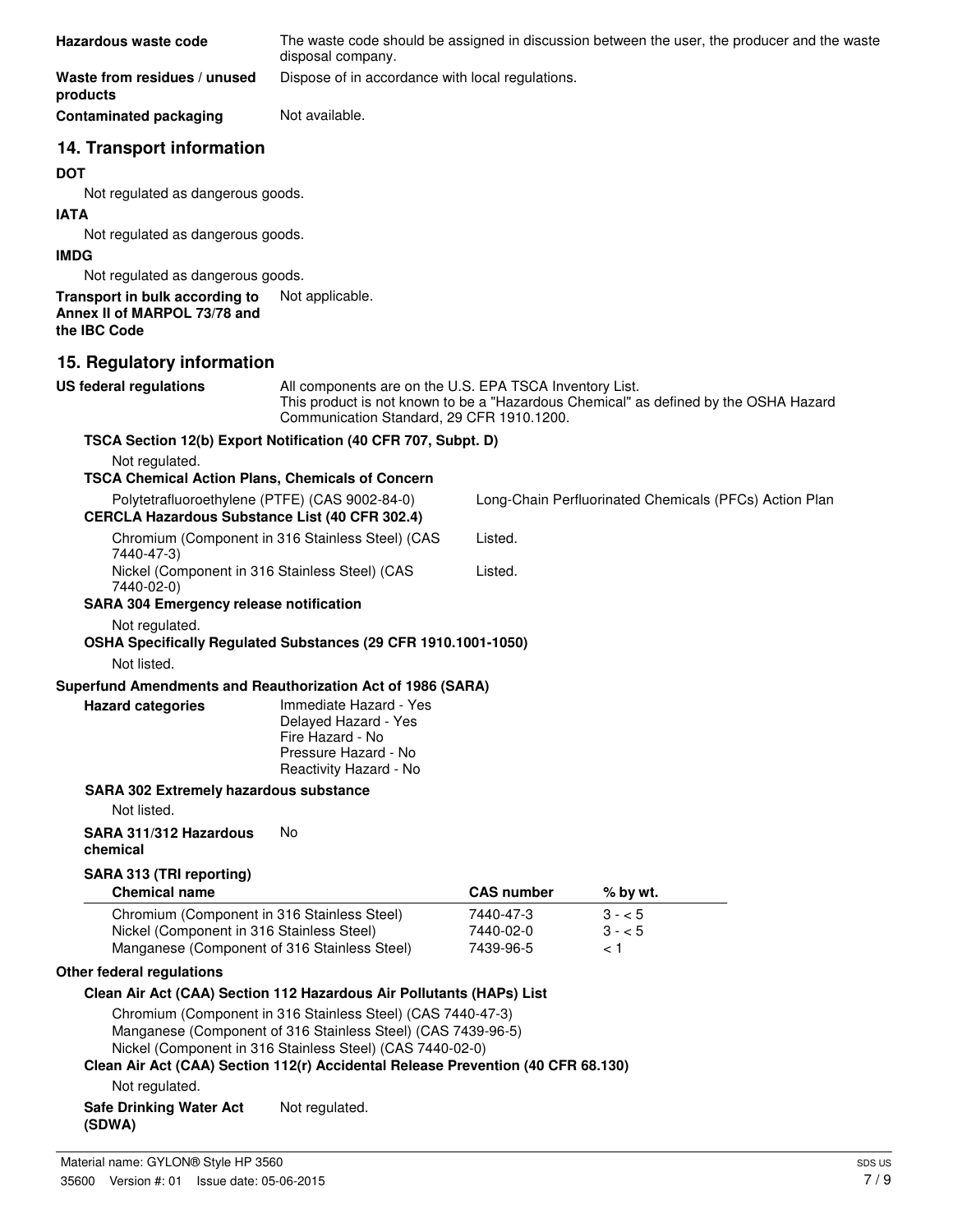| Hazardous waste code                                                             |                                                                                                                                                                                          |                   | The waste code should be assigned in discussion between the user, the producer and the waste |  |
|----------------------------------------------------------------------------------|------------------------------------------------------------------------------------------------------------------------------------------------------------------------------------------|-------------------|----------------------------------------------------------------------------------------------|--|
|                                                                                  | disposal company.                                                                                                                                                                        |                   |                                                                                              |  |
| Waste from residues / unused<br>products                                         | Dispose of in accordance with local regulations.                                                                                                                                         |                   |                                                                                              |  |
| <b>Contaminated packaging</b>                                                    | Not available.                                                                                                                                                                           |                   |                                                                                              |  |
| 14. Transport information                                                        |                                                                                                                                                                                          |                   |                                                                                              |  |
| <b>DOT</b>                                                                       |                                                                                                                                                                                          |                   |                                                                                              |  |
| Not regulated as dangerous goods.                                                |                                                                                                                                                                                          |                   |                                                                                              |  |
| <b>IATA</b>                                                                      |                                                                                                                                                                                          |                   |                                                                                              |  |
| Not regulated as dangerous goods.                                                |                                                                                                                                                                                          |                   |                                                                                              |  |
| <b>IMDG</b>                                                                      |                                                                                                                                                                                          |                   |                                                                                              |  |
| Not regulated as dangerous goods.                                                |                                                                                                                                                                                          |                   |                                                                                              |  |
| Transport in bulk according to<br>Annex II of MARPOL 73/78 and<br>the IBC Code   | Not applicable.                                                                                                                                                                          |                   |                                                                                              |  |
| 15. Regulatory information                                                       |                                                                                                                                                                                          |                   |                                                                                              |  |
| <b>US federal regulations</b>                                                    | All components are on the U.S. EPA TSCA Inventory List.                                                                                                                                  |                   |                                                                                              |  |
|                                                                                  | Communication Standard, 29 CFR 1910.1200.                                                                                                                                                |                   | This product is not known to be a "Hazardous Chemical" as defined by the OSHA Hazard         |  |
| TSCA Section 12(b) Export Notification (40 CFR 707, Subpt. D)                    |                                                                                                                                                                                          |                   |                                                                                              |  |
| Not regulated.<br><b>TSCA Chemical Action Plans, Chemicals of Concern</b>        |                                                                                                                                                                                          |                   |                                                                                              |  |
| Polytetrafluoroethylene (PTFE) (CAS 9002-84-0)                                   |                                                                                                                                                                                          |                   | Long-Chain Perfluorinated Chemicals (PFCs) Action Plan                                       |  |
| <b>CERCLA Hazardous Substance List (40 CFR 302.4)</b>                            |                                                                                                                                                                                          |                   |                                                                                              |  |
| Chromium (Component in 316 Stainless Steel) (CAS<br>7440-47-3)                   |                                                                                                                                                                                          | Listed.           |                                                                                              |  |
| Nickel (Component in 316 Stainless Steel) (CAS<br>7440-02-0)                     |                                                                                                                                                                                          | Listed.           |                                                                                              |  |
| <b>SARA 304 Emergency release notification</b>                                   |                                                                                                                                                                                          |                   |                                                                                              |  |
| Not regulated.<br>OSHA Specifically Regulated Substances (29 CFR 1910.1001-1050) |                                                                                                                                                                                          |                   |                                                                                              |  |
| Not listed.                                                                      |                                                                                                                                                                                          |                   |                                                                                              |  |
| Superfund Amendments and Reauthorization Act of 1986 (SARA)                      |                                                                                                                                                                                          |                   |                                                                                              |  |
| <b>Hazard categories</b>                                                         | Immediate Hazard - Yes<br>Delayed Hazard - Yes<br>Fire Hazard - No<br>Pressure Hazard - No<br>Reactivity Hazard - No                                                                     |                   |                                                                                              |  |
| <b>SARA 302 Extremely hazardous substance</b>                                    |                                                                                                                                                                                          |                   |                                                                                              |  |
| Not listed.                                                                      |                                                                                                                                                                                          |                   |                                                                                              |  |
| SARA 311/312 Hazardous<br>chemical                                               | No.                                                                                                                                                                                      |                   |                                                                                              |  |
| SARA 313 (TRI reporting)                                                         |                                                                                                                                                                                          |                   |                                                                                              |  |
| <b>Chemical name</b>                                                             |                                                                                                                                                                                          | <b>CAS number</b> | % by wt.                                                                                     |  |
| Chromium (Component in 316 Stainless Steel)                                      |                                                                                                                                                                                          | 7440-47-3         | $3 - 5$                                                                                      |  |
| Nickel (Component in 316 Stainless Steel)                                        |                                                                                                                                                                                          | 7440-02-0         | $3 - 5$                                                                                      |  |
| Manganese (Component of 316 Stainless Steel)                                     |                                                                                                                                                                                          | 7439-96-5         | < 1                                                                                          |  |
| Other federal regulations                                                        |                                                                                                                                                                                          |                   |                                                                                              |  |
| Clean Air Act (CAA) Section 112 Hazardous Air Pollutants (HAPs) List             |                                                                                                                                                                                          |                   |                                                                                              |  |
|                                                                                  | Chromium (Component in 316 Stainless Steel) (CAS 7440-47-3)<br>Manganese (Component of 316 Stainless Steel) (CAS 7439-96-5)<br>Nickel (Component in 316 Stainless Steel) (CAS 7440-02-0) |                   |                                                                                              |  |
| Clean Air Act (CAA) Section 112(r) Accidental Release Prevention (40 CFR 68.130) |                                                                                                                                                                                          |                   |                                                                                              |  |
| Not regulated.                                                                   |                                                                                                                                                                                          |                   |                                                                                              |  |
| <b>Safe Drinking Water Act</b><br>(SDWA)                                         | Not regulated.                                                                                                                                                                           |                   |                                                                                              |  |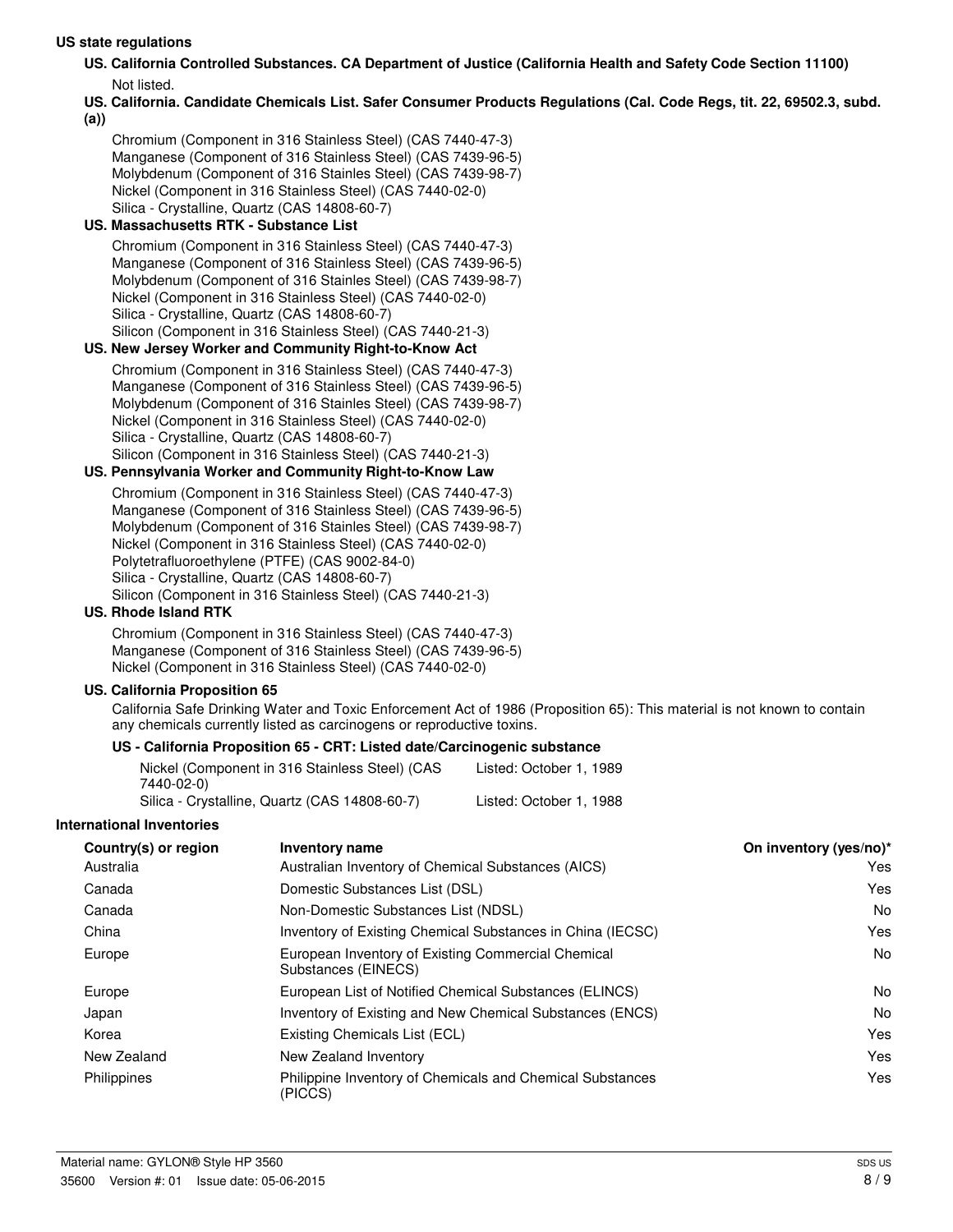#### **US state regulations**

- **US. California Controlled Substances. CA Department of Justice (California Health and Safety Code Section 11100)** Not listed.
- **US. California. Candidate Chemicals List. Safer Consumer Products Regulations (Cal. Code Regs, tit. 22, 69502.3, subd. (a))**

Chromium (Component in 316 Stainless Steel) (CAS 7440-47-3) Manganese (Component of 316 Stainless Steel) (CAS 7439-96-5) Molybdenum (Component of 316 Stainles Steel) (CAS 7439-98-7) Nickel (Component in 316 Stainless Steel) (CAS 7440-02-0) Silica - Crystalline, Quartz (CAS 14808-60-7)

#### **US. Massachusetts RTK - Substance List**

Chromium (Component in 316 Stainless Steel) (CAS 7440-47-3) Manganese (Component of 316 Stainless Steel) (CAS 7439-96-5) Molybdenum (Component of 316 Stainles Steel) (CAS 7439-98-7) Nickel (Component in 316 Stainless Steel) (CAS 7440-02-0) Silica - Crystalline, Quartz (CAS 14808-60-7) Silicon (Component in 316 Stainless Steel) (CAS 7440-21-3)

#### **US. New Jersey Worker and Community Right-to-Know Act**

Chromium (Component in 316 Stainless Steel) (CAS 7440-47-3) Manganese (Component of 316 Stainless Steel) (CAS 7439-96-5) Molybdenum (Component of 316 Stainles Steel) (CAS 7439-98-7) Nickel (Component in 316 Stainless Steel) (CAS 7440-02-0) Silica - Crystalline, Quartz (CAS 14808-60-7) Silicon (Component in 316 Stainless Steel) (CAS 7440-21-3)

#### **US. Pennsylvania Worker and Community Right-to-Know Law**

Chromium (Component in 316 Stainless Steel) (CAS 7440-47-3) Manganese (Component of 316 Stainless Steel) (CAS 7439-96-5) Molybdenum (Component of 316 Stainles Steel) (CAS 7439-98-7) Nickel (Component in 316 Stainless Steel) (CAS 7440-02-0) Polytetrafluoroethylene (PTFE) (CAS 9002-84-0) Silica - Crystalline, Quartz (CAS 14808-60-7) Silicon (Component in 316 Stainless Steel) (CAS 7440-21-3)

#### **US. Rhode Island RTK**

Chromium (Component in 316 Stainless Steel) (CAS 7440-47-3) Manganese (Component of 316 Stainless Steel) (CAS 7439-96-5) Nickel (Component in 316 Stainless Steel) (CAS 7440-02-0)

#### **US. California Proposition 65**

California Safe Drinking Water and Toxic Enforcement Act of 1986 (Proposition 65): This material is not known to contain any chemicals currently listed as carcinogens or reproductive toxins.

#### **US - California Proposition 65 - CRT: Listed date/Carcinogenic substance**

| Nickel (Component in 316 Stainless Steel) (CAS | Listed: October 1, 1989 |
|------------------------------------------------|-------------------------|
| 7440-02-0)                                     |                         |
| Silica - Crystalline, Quartz (CAS 14808-60-7)  | Listed: October 1, 1988 |

#### **International Inventories**

| Country(s) or region | <b>Inventory name</b>                                                     | On inventory (yes/no)* |
|----------------------|---------------------------------------------------------------------------|------------------------|
| Australia            | Australian Inventory of Chemical Substances (AICS)                        | Yes                    |
| Canada               | Domestic Substances List (DSL)                                            | Yes                    |
| Canada               | Non-Domestic Substances List (NDSL)                                       | No                     |
| China                | Inventory of Existing Chemical Substances in China (IECSC)                | Yes                    |
| Europe               | European Inventory of Existing Commercial Chemical<br>Substances (EINECS) | No                     |
| Europe               | European List of Notified Chemical Substances (ELINCS)                    | No                     |
| Japan                | Inventory of Existing and New Chemical Substances (ENCS)                  | No                     |
| Korea                | Existing Chemicals List (ECL)                                             | Yes                    |
| New Zealand          | New Zealand Inventory                                                     | Yes                    |
| Philippines          | Philippine Inventory of Chemicals and Chemical Substances<br>(PICCS)      | Yes                    |